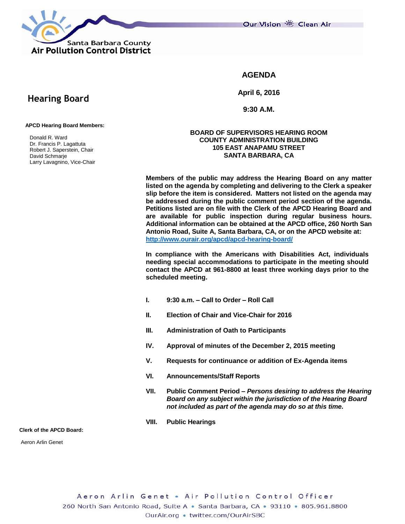

Our Vision 卷 Clean Air

# **AGENDA**

**April 6, 2016**

**9:30 A.M.**

#### **APCD Hearing Board Members:**

 **Hearing Board**

 Donald R. Ward Dr. Francis P. Lagattuta Robert J. Saperstein, Chair David Schmarje Larry Lavagnino, Vice-Chair

### **BOARD OF SUPERVISORS HEARING ROOM COUNTY ADMINISTRATION BUILDING 105 EAST ANAPAMU STREET SANTA BARBARA, CA**

**Members of the public may address the Hearing Board on any matter listed on the agenda by completing and delivering to the Clerk a speaker slip before the item is considered. Matters not listed on the agenda may be addressed during the public comment period section of the agenda. Petitions listed are on file with the Clerk of the APCD Hearing Board and are available for public inspection during regular business hours. Additional information can be obtained at the APCD office, 260 North San Antonio Road, Suite A, Santa Barbara, CA, or on the APCD website at: <http://www.ourair.org/apcd/apcd-hearing-board/>**

**In compliance with the Americans with Disabilities Act, individuals needing special accommodations to participate in the meeting should contact the APCD at 961-8800 at least three working days prior to the scheduled meeting.**

- **I. 9:30 a.m. – Call to Order – Roll Call**
- **II. Election of Chair and Vice-Chair for 2016**
- **III. Administration of Oath to Participants**
- **IV. Approval of minutes of the December 2, 2015 meeting**
- **V. Requests for continuance or addition of Ex-Agenda items**
- **VI. Announcements/Staff Reports**
- **VII. Public Comment Period –** *Persons desiring to address the Hearing Board on any subject within the jurisdiction of the Hearing Board not included as part of the agenda may do so at this time.*
- **VIII. Public Hearings**

**Clerk of the APCD Board:**

Aeron Arlin Genet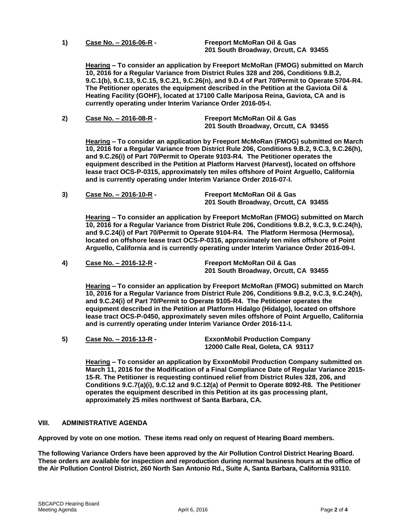**1) Case No. – 2016-06-R - Freeport McMoRan Oil & Gas**

**201 South Broadway, Orcutt, CA 93455**

**Hearing – To consider an application by Freeport McMoRan (FMOG) submitted on March 10, 2016 for a Regular Variance from District Rules 328 and 206, Conditions 9.B.2, 9.C.1(b), 9.C.13, 9.C.15, 9.C.21, 9.C.26(n), and 9.D.4 of Part 70/Permit to Operate 5704-R4. The Petitioner operates the equipment described in the Petition at the Gaviota Oil & Heating Facility (GOHF), located at 17100 Calle Mariposa Reina, Gaviota, CA and is currently operating under Interim Variance Order 2016-05-I.**

**2) Case No. – 2016-08-R - Freeport McMoRan Oil & Gas 201 South Broadway, Orcutt, CA 93455**

**Hearing – To consider an application by Freeport McMoRan (FMOG) submitted on March 10, 2016 for a Regular Variance from District Rule 206, Conditions 9.B.2, 9.C.3, 9.C.26(h), and 9.C.26(i) of Part 70/Permit to Operate 9103-R4. The Petitioner operates the equipment described in the Petition at Platform Harvest (Harvest), located on offshore lease tract OCS-P-0315, approximately ten miles offshore of Point Arguello, California and is currently operating under Interim Variance Order 2016-07-I.**

**3) Case No. – 2016-10-R - Freeport McMoRan Oil & Gas 201 South Broadway, Orcutt, CA 93455**

**Hearing – To consider an application by Freeport McMoRan (FMOG) submitted on March 10, 2016 for a Regular Variance from District Rule 206, Conditions 9.B.2, 9.C.3, 9.C.24(h), and 9.C.24(i) of Part 70/Permit to Operate 9104-R4. The Platform Hermosa (Hermosa), located on offshore lease tract OCS-P-0316, approximately ten miles offshore of Point Arguello, California and is currently operating under Interim Variance Order 2016-09-I.**

**4) Case No. – 2016-12-R - Freeport McMoRan Oil & Gas 201 South Broadway, Orcutt, CA 93455**

**Hearing – To consider an application by Freeport McMoRan (FMOG) submitted on March 10, 2016 for a Regular Variance from District Rule 206, Conditions 9.B.2, 9.C.3, 9.C.24(h), and 9.C.24(i) of Part 70/Permit to Operate 9105-R4. The Petitioner operates the equipment described in the Petition at Platform Hidalgo (Hidalgo), located on offshore lease tract OCS-P-0450, approximately seven miles offshore of Point Arguello, California and is currently operating under Interim Variance Order 2016-11-I.**

**5) Case No. – 2016-13-R - ExxonMobil Production Company 12000 Calle Real, Goleta, CA 93117**

**Hearing – To consider an application by ExxonMobil Production Company submitted on March 11, 2016 for the Modification of a Final Compliance Date of Regular Variance 2015- 15-R. The Petitioner is requesting continued relief from District Rules 328, 206, and Conditions 9.C.7(a)(i), 9.C.12 and 9.C.12(a) of Permit to Operate 8092-R8. The Petitioner operates the equipment described in this Petition at its gas processing plant, approximately 25 miles northwest of Santa Barbara, CA.**

## **VIII. ADMINISTRATIVE AGENDA**

**Approved by vote on one motion. These items read only on request of Hearing Board members.**

**The following Variance Orders have been approved by the Air Pollution Control District Hearing Board. These orders are available for inspection and reproduction during normal business hours at the office of the Air Pollution Control District, 260 North San Antonio Rd., Suite A, Santa Barbara, California 93110.**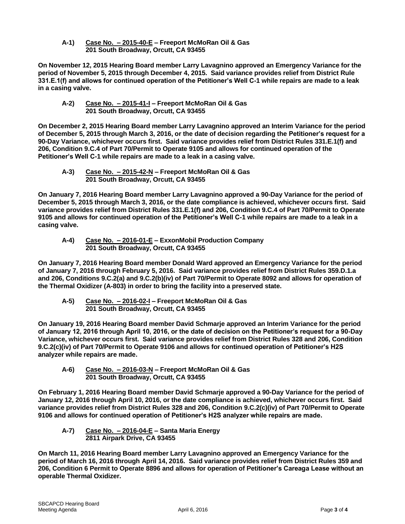**A-1) Case No. – 2015-40-E – Freeport McMoRan Oil & Gas 201 South Broadway, Orcutt, CA 93455**

**On November 12, 2015 Hearing Board member Larry Lavagnino approved an Emergency Variance for the period of November 5, 2015 through December 4, 2015. Said variance provides relief from District Rule 331.E.1(f) and allows for continued operation of the Petitioner's Well C-1 while repairs are made to a leak in a casing valve.**

**A-2) Case No. – 2015-41-I – Freeport McMoRan Oil & Gas 201 South Broadway, Orcutt, CA 93455**

**On December 2, 2015 Hearing Board member Larry Lavagnino approved an Interim Variance for the period of December 5, 2015 through March 3, 2016, or the date of decision regarding the Petitioner's request for a 90-Day Variance, whichever occurs first. Said variance provides relief from District Rules 331.E.1(f) and 206, Condition 9.C.4 of Part 70/Permit to Operate 9105 and allows for continued operation of the Petitioner's Well C-1 while repairs are made to a leak in a casing valve.**

**A-3) Case No. – 2015-42-N – Freeport McMoRan Oil & Gas 201 South Broadway, Orcutt, CA 93455**

**On January 7, 2016 Hearing Board member Larry Lavagnino approved a 90-Day Variance for the period of December 5, 2015 through March 3, 2016, or the date compliance is achieved, whichever occurs first. Said variance provides relief from District Rules 331.E.1(f) and 206, Condition 9.C.4 of Part 70/Permit to Operate 9105 and allows for continued operation of the Petitioner's Well C-1 while repairs are made to a leak in a casing valve.**

**A-4) Case No. – 2016-01-E – ExxonMobil Production Company 201 South Broadway, Orcutt, CA 93455**

**On January 7, 2016 Hearing Board member Donald Ward approved an Emergency Variance for the period of January 7, 2016 through February 5, 2016. Said variance provides relief from District Rules 359.D.1.a and 206, Conditions 9.C.2(a) and 9.C.2(b)(iv) of Part 70/Permit to Operate 8092 and allows for operation of the Thermal Oxidizer (A-803) in order to bring the facility into a preserved state.**

**A-5) Case No. – 2016-02-I – Freeport McMoRan Oil & Gas 201 South Broadway, Orcutt, CA 93455**

**On January 19, 2016 Hearing Board member David Schmarje approved an Interim Variance for the period of January 12, 2016 through April 10, 2016, or the date of decision on the Petitioner's request for a 90-Day Variance, whichever occurs first. Said variance provides relief from District Rules 328 and 206, Condition 9.C.2(c)(iv) of Part 70/Permit to Operate 9106 and allows for continued operation of Petitioner's H2S analyzer while repairs are made.**

**A-6) Case No. – 2016-03-N – Freeport McMoRan Oil & Gas 201 South Broadway, Orcutt, CA 93455**

**On February 1, 2016 Hearing Board member David Schmarje approved a 90-Day Variance for the period of January 12, 2016 through April 10, 2016, or the date compliance is achieved, whichever occurs first. Said variance provides relief from District Rules 328 and 206, Condition 9.C.2(c)(iv) of Part 70/Permit to Operate 9106 and allows for continued operation of Petitioner's H2S analyzer while repairs are made.**

**A-7) Case No. – 2016-04-E – Santa Maria Energy 2811 Airpark Drive, CA 93455**

**On March 11, 2016 Hearing Board member Larry Lavagnino approved an Emergency Variance for the period of March 16, 2016 through April 14, 2016. Said variance provides relief from District Rules 359 and 206, Condition 6 Permit to Operate 8896 and allows for operation of Petitioner's Careaga Lease without an operable Thermal Oxidizer.**